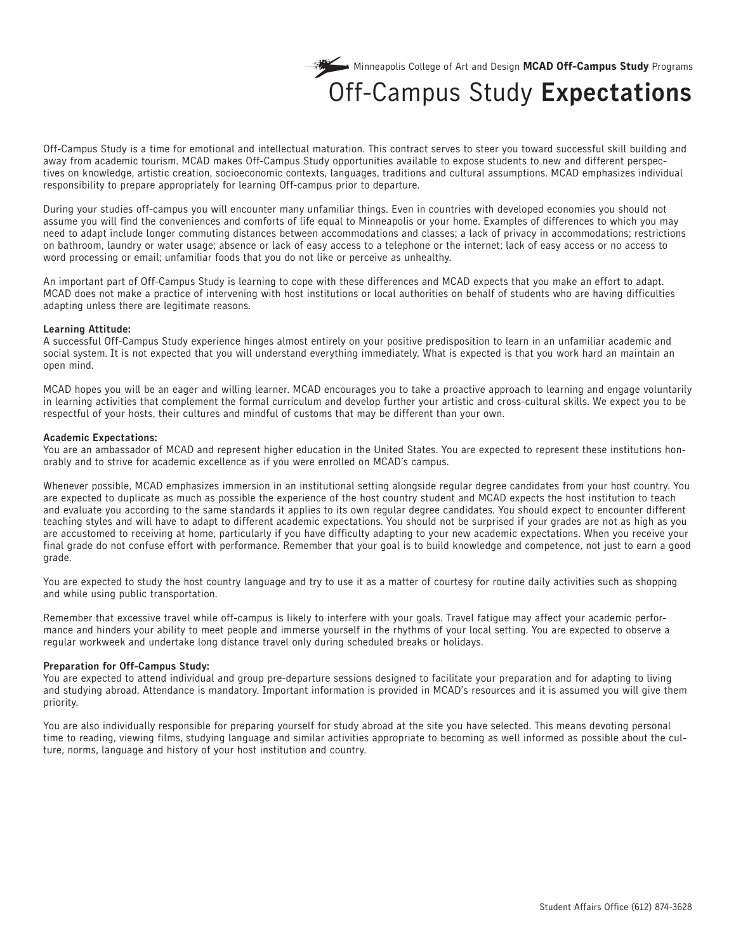

## Off-Campus Study **Expectations**

Off-Campus Study is a time for emotional and intellectual maturation. This contract serves to steer you toward successful skill building and away from academic tourism. MCAD makes Off-Campus Study opportunities available to expose students to new and different perspectives on knowledge, artistic creation, socioeconomic contexts, languages, traditions and cultural assumptions. MCAD emphasizes individual responsibility to prepare appropriately for learning Off-campus prior to departure.

During your studies off-campus you will encounter many unfamiliar things. Even in countries with developed economies you should not assume you will find the conveniences and comforts of life equal to Minneapolis or your home. Examples of differences to which you may need to adapt include longer commuting distances between accommodations and classes; a lack of privacy in accommodations; restrictions on bathroom, laundry or water usage; absence or lack of easy access to a telephone or the internet; lack of easy access or no access to word processing or email; unfamiliar foods that you do not like or perceive as unhealthy.

An important part of Off-Campus Study is learning to cope with these differences and MCAD expects that you make an effort to adapt. MCAD does not make a practice of intervening with host institutions or local authorities on behalf of students who are having difficulties adapting unless there are legitimate reasons.

#### **Learning Attitude:**

A successful Off-Campus Study experience hinges almost entirely on your positive predisposition to learn in an unfamiliar academic and social system. It is not expected that you will understand everything immediately. What is expected is that you work hard an maintain an open mind.

MCAD hopes you will be an eager and willing learner. MCAD encourages you to take a proactive approach to learning and engage voluntarily in learning activities that complement the formal curriculum and develop further your artistic and cross-cultural skills. We expect you to be respectful of your hosts, their cultures and mindful of customs that may be different than your own.

### **Academic Expectations:**

You are an ambassador of MCAD and represent higher education in the United States. You are expected to represent these institutions honorably and to strive for academic excellence as if you were enrolled on MCAD's campus.

Whenever possible, MCAD emphasizes immersion in an institutional setting alongside regular degree candidates from your host country. You are expected to duplicate as much as possible the experience of the host country student and MCAD expects the host institution to teach and evaluate you according to the same standards it applies to its own regular degree candidates. You should expect to encounter different teaching styles and will have to adapt to different academic expectations. You should not be surprised if your grades are not as high as you are accustomed to receiving at home, particularly if you have difficulty adapting to your new academic expectations. When you receive your final grade do not confuse effort with performance. Remember that your goal is to build knowledge and competence, not just to earn a good grade.

You are expected to study the host country language and try to use it as a matter of courtesy for routine daily activities such as shopping and while using public transportation.

Remember that excessive travel while off-campus is likely to interfere with your goals. Travel fatigue may affect your academic performance and hinders your ability to meet people and immerse yourself in the rhythms of your local setting. You are expected to observe a regular workweek and undertake long distance travel only during scheduled breaks or holidays.

## **Preparation for Off-Campus Study:**

You are expected to attend individual and group pre-departure sessions designed to facilitate your preparation and for adapting to living and studying abroad. Attendance is mandatory. Important information is provided in MCAD's resources and it is assumed you will give them priority.

You are also individually responsible for preparing yourself for study abroad at the site you have selected. This means devoting personal time to reading, viewing films, studying language and similar activities appropriate to becoming as well informed as possible about the culture, norms, language and history of your host institution and country.